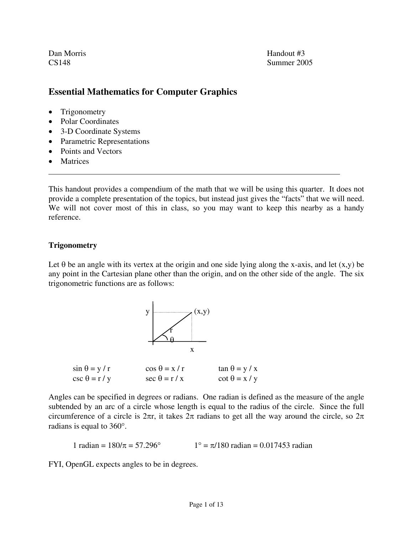Dan Morris **Handout #3** 

CS148 Summer 2005

# **Essential Mathematics for Computer Graphics**

- Trigonometry
- Polar Coordinates
- 3-D Coordinate Systems
- Parametric Representations
- Points and Vectors
- Matrices

 $\overline{a}$ 

This handout provides a compendium of the math that we will be using this quarter. It does not provide a complete presentation of the topics, but instead just gives the "facts" that we will need. We will not cover most of this in class, so you may want to keep this nearby as a handy reference.

# **Trigonometry**

Let  $\theta$  be an angle with its vertex at the origin and one side lying along the x-axis, and let  $(x,y)$  be any point in the Cartesian plane other than the origin, and on the other side of the angle. The six trigonometric functions are as follows:



Angles can be specified in degrees or radians. One radian is defined as the measure of the angle subtended by an arc of a circle whose length is equal to the radius of the circle. Since the full circumference of a circle is  $2\pi r$ , it takes  $2\pi$  radians to get all the way around the circle, so  $2\pi$ radians is equal to 360°.

1 radian =  $180/\pi = 57.296^\circ$  1° =  $\pi/180$  radian = 0.017453 radian

FYI, OpenGL expects angles to be in degrees.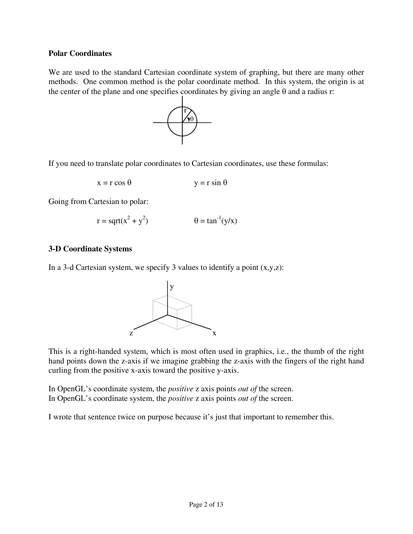### **Polar Coordinates**

We are used to the standard Cartesian coordinate system of graphing, but there are many other methods. One common method is the polar coordinate method. In this system, the origin is at the center of the plane and one specifies coordinates by giving an angle  $\theta$  and a radius r:



If you need to translate polar coordinates to Cartesian coordinates, use these formulas:

$$
x = r \cos \theta \qquad \qquad y = r \sin \theta
$$

Going from Cartesian to polar:

$$
r = sqrt(x2 + y2) \qquad \theta = tan-1(y/x)
$$

# **3-D Coordinate Systems**

In a 3-d Cartesian system, we specify 3 values to identify a point  $(x,y,z)$ :



This is a right-handed system, which is most often used in graphics, i.e., the thumb of the right hand points down the z-axis if we imagine grabbing the z-axis with the fingers of the right hand curling from the positive x-axis toward the positive y-axis.

In OpenGL's coordinate system, the *positive* z axis points *out of* the screen. In OpenGL's coordinate system, the *positive* z axis points *out of* the screen.

I wrote that sentence twice on purpose because it's just that important to remember this.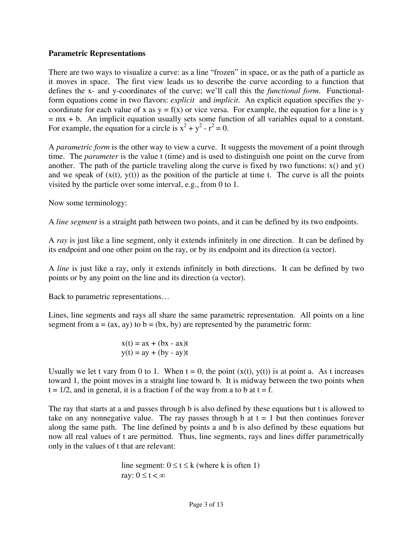# **Parametric Representations**

There are two ways to visualize a curve: as a line "frozen" in space, or as the path of a particle as it moves in space. The first view leads us to describe the curve according to a function that defines the x- and y-coordinates of the curve; we'll call this the *functional form*. Functionalform equations come in two flavors: *explicit* and *implicit*. An explicit equation specifies the ycoordinate for each value of x as  $y = f(x)$  or vice versa. For example, the equation for a line is y  $=$  mx  $+$  b. An implicit equation usually sets some function of all variables equal to a constant. For example, the equation for a circle is  $x^2 + y^2 - r^2 = 0$ .

A *parametric form* is the other way to view a curve. It suggests the movement of a point through time. The *parameter* is the value t (time) and is used to distinguish one point on the curve from another. The path of the particle traveling along the curve is fixed by two functions:  $x()$  and  $y()$ and we speak of  $(x(t), y(t))$  as the position of the particle at time t. The curve is all the points visited by the particle over some interval, e.g., from 0 to 1.

Now some terminology:

A *line segment* is a straight path between two points, and it can be defined by its two endpoints.

A *ray* is just like a line segment, only it extends infinitely in one direction. It can be defined by its endpoint and one other point on the ray, or by its endpoint and its direction (a vector).

A *line* is just like a ray, only it extends infinitely in both directions. It can be defined by two points or by any point on the line and its direction (a vector).

Back to parametric representations…

Lines, line segments and rays all share the same parametric representation. All points on a line segment from  $a = (ax, ay)$  to  $b = (bx, by)$  are represented by the parametric form:

$$
x(t) = ax + (bx - ax)t
$$

$$
y(t) = ay + (by - ay)t
$$

Usually we let t vary from 0 to 1. When  $t = 0$ , the point  $(x(t), y(t))$  is at point a. As t increases toward 1, the point moves in a straight line toward b. It is midway between the two points when  $t = 1/2$ , and in general, it is a fraction f of the way from a to b at  $t = f$ .

The ray that starts at a and passes through b is also defined by these equations but t is allowed to take on any nonnegative value. The ray passes through b at  $t = 1$  but then continues forever along the same path. The line defined by points a and b is also defined by these equations but now all real values of t are permitted. Thus, line segments, rays and lines differ parametrically only in the values of t that are relevant:

line segment: 
$$
0 \le t \le k
$$
 (where k is often 1)  
ray:  $0 \le t < \infty$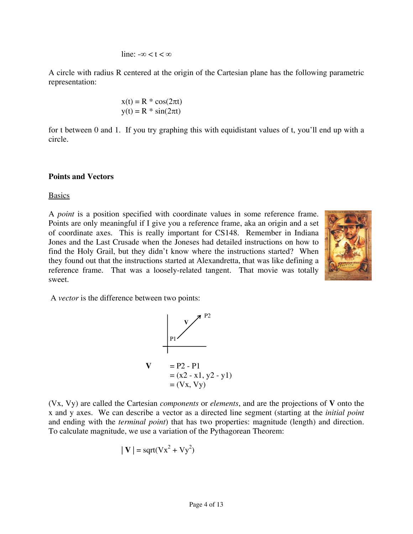$$
line: -\infty < t < \infty
$$

A circle with radius R centered at the origin of the Cartesian plane has the following parametric representation:

$$
x(t) = R * cos(2\pi t)
$$

$$
y(t) = R * sin(2\pi t)
$$

for t between 0 and 1. If you try graphing this with equidistant values of t, you'll end up with a circle.

### **Points and Vectors**

#### Basics

A *point* is a position specified with coordinate values in some reference frame. Points are only meaningful if I give you a reference frame, aka an origin and a set of coordinate axes. This is really important for CS148. Remember in Indiana Jones and the Last Crusade when the Joneses had detailed instructions on how to find the Holy Grail, but they didn't know where the instructions started? When they found out that the instructions started at Alexandretta, that was like defining a reference frame. That was a loosely-related tangent. That movie was totally sweet.



A *vector* is the difference between two points:



(Vx, Vy) are called the Cartesian *components* or *elements*, and are the projections of **V** onto the x and y axes. We can describe a vector as a directed line segment (starting at the *initial point* and ending with the *terminal point*) that has two properties: magnitude (length) and direction. To calculate magnitude, we use a variation of the Pythagorean Theorem:

$$
|\mathbf{V}| = \mathbf{sqrt}(Vx^2 + Vy^2)
$$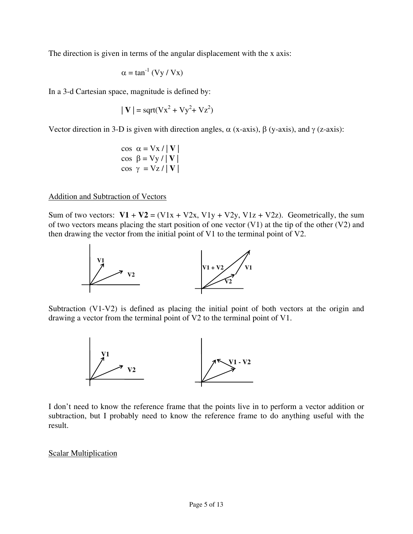The direction is given in terms of the angular displacement with the x axis:

$$
\alpha = \tan^{-1} (Vy / Vx)
$$

In a 3-d Cartesian space, magnitude is defined by:

$$
|\mathbf{V}| = \text{sqrt}(Vx^2 + Vy^2 + Vz^2)
$$

Vector direction in 3-D is given with direction angles,  $\alpha$  (x-axis),  $\beta$  (y-axis), and γ (z-axis):

$$
\begin{array}{c}\n\cos \alpha = \text{Vx} / |\mathbf{V}| \\
\cos \beta = \text{Vy} / |\mathbf{V}| \\
\cos \gamma = \text{Vz} / |\mathbf{V}|\n\end{array}
$$

### Addition and Subtraction of Vectors

Sum of two vectors:  $V1 + V2 = (V1x + V2x, V1y + V2y, V1z + V2z)$ . Geometrically, the sum of two vectors means placing the start position of one vector  $(V1)$  at the tip of the other  $(V2)$  and then drawing the vector from the initial point of V1 to the terminal point of V2.



Subtraction (V1-V2) is defined as placing the initial point of both vectors at the origin and drawing a vector from the terminal point of V2 to the terminal point of V1.



I don't need to know the reference frame that the points live in to perform a vector addition or subtraction, but I probably need to know the reference frame to do anything useful with the result.

### Scalar Multiplication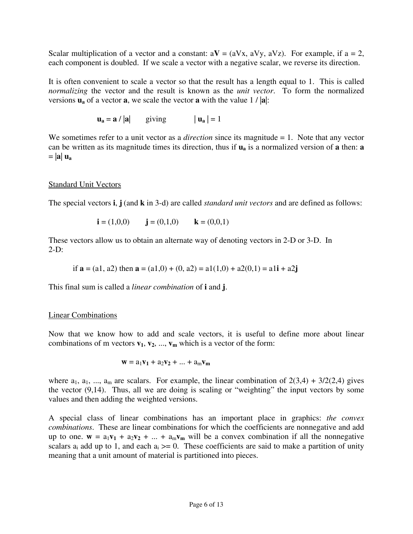Scalar multiplication of a vector and a constant:  $aV = (aVx, aVy, aVz)$ . For example, if  $a = 2$ , each component is doubled. If we scale a vector with a negative scalar, we reverse its direction.

It is often convenient to scale a vector so that the result has a length equal to 1. This is called *normalizing* the vector and the result is known as the *unit vector*. To form the normalized versions  $\mathbf{u}_a$  of a vector **a**, we scale the vector **a** with the value 1 /  $|\mathbf{a}|$ :

 $\mathbf{u}_a = \mathbf{a} / |\mathbf{a}|$  giving  $|\mathbf{u}_a| = 1$ 

We sometimes refer to a unit vector as a *direction* since its magnitude = 1. Note that any vector can be written as its magnitude times its direction, thus if **ua** is a normalized version of **a** then: **a**  $=$  |**a**|  $\mathbf{u}_a$ 

#### Standard Unit Vectors

The special vectors **i**, **j** (and **k** in 3-d) are called *standard unit vectors* and are defined as follows:

**i** = (1,0,0) **j** = (0,1,0) **k** = (0,0,1)

These vectors allow us to obtain an alternate way of denoting vectors in 2-D or 3-D. In  $2-D$ :

if  $\mathbf{a} = (a_1, a_2)$  then  $\mathbf{a} = (a_1, 0) + (0, a_2) = a_1(1, 0) + a_2(0, 1) = a_1\mathbf{i} + a_2\mathbf{j}$ 

This final sum is called a *linear combination* of **i** and **j**.

#### Linear Combinations

Now that we know how to add and scale vectors, it is useful to define more about linear combinations of m vectors  $v_1$ ,  $v_2$ , ...,  $v_m$  which is a vector of the form:

$$
\mathbf{w} = a_1 \mathbf{v}_1 + a_2 \mathbf{v}_2 + \dots + a_m \mathbf{v}_m
$$

where  $a_1, a_1, ..., a_m$  are scalars. For example, the linear combination of  $2(3,4) + 3/2(2,4)$  gives the vector (9,14). Thus, all we are doing is scaling or "weighting" the input vectors by some values and then adding the weighted versions.

A special class of linear combinations has an important place in graphics: *the convex combinations*. These are linear combinations for which the coefficients are nonnegative and add up to one.  $w = a_1v_1 + a_2v_2 + ... + a_mv_m$  will be a convex combination if all the nonnegative scalars  $a_i$  add up to 1, and each  $a_i \geq 0$ . These coefficients are said to make a partition of unity meaning that a unit amount of material is partitioned into pieces.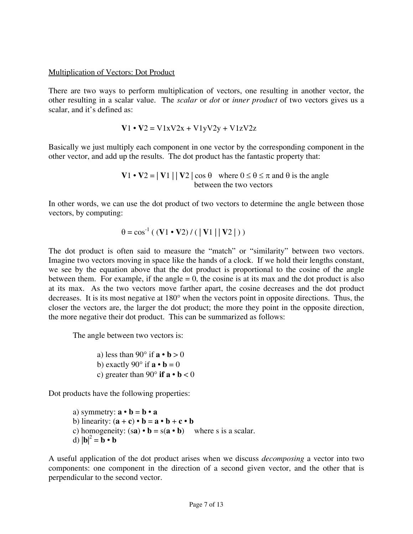### Multiplication of Vectors: Dot Product

There are two ways to perform multiplication of vectors, one resulting in another vector, the other resulting in a scalar value. The *scalar* or *dot* or *inner product* of two vectors gives us a scalar, and it's defined as:

$$
V1 \cdot V2 = V1xV2x + V1yV2y + V1zV2z
$$

Basically we just multiply each component in one vector by the corresponding component in the other vector, and add up the results. The dot product has the fantastic property that:

> **V**1 • **V**2 =  $|\mathbf{V}1| |\mathbf{V}2| \cos \theta$  where  $0 \le \theta \le \pi$  and  $\theta$  is the angle between the two vectors

In other words, we can use the dot product of two vectors to determine the angle between those vectors, by computing:

$$
\theta = \cos^{-1}((\mathbf{V}1 \cdot \mathbf{V}2) / (\|\mathbf{V}1\| \|\mathbf{V}2\|))
$$

The dot product is often said to measure the "match" or "similarity" between two vectors. Imagine two vectors moving in space like the hands of a clock. If we hold their lengths constant, we see by the equation above that the dot product is proportional to the cosine of the angle between them. For example, if the angle  $= 0$ , the cosine is at its max and the dot product is also at its max. As the two vectors move farther apart, the cosine decreases and the dot product decreases. It is its most negative at 180° when the vectors point in opposite directions. Thus, the closer the vectors are, the larger the dot product; the more they point in the opposite direction, the more negative their dot product. This can be summarized as follows:

The angle between two vectors is:

a) less than 90 $\degree$  if  $\mathbf{a} \cdot \mathbf{b} > 0$ b) exactly 90 $\degree$  if  $\mathbf{a} \cdot \mathbf{b} = 0$ c) greater than 90 $\degree$  **if a**  $\bullet$  **b** < 0

Dot products have the following properties:

a) symmetry:  $\mathbf{a} \cdot \mathbf{b} = \mathbf{b} \cdot \mathbf{a}$ **b**) linearity:  $(\mathbf{a} + \mathbf{c}) \cdot \mathbf{b} = \mathbf{a} \cdot \mathbf{b} + \mathbf{c} \cdot \mathbf{b}$ c) homogeneity:  $(sa) \cdot b = s(a \cdot b)$  where s is a scalar. d)  $|\mathbf{b}|^2 = \mathbf{b} \cdot \mathbf{b}$ 

A useful application of the dot product arises when we discuss *decomposing* a vector into two components: one component in the direction of a second given vector, and the other that is perpendicular to the second vector.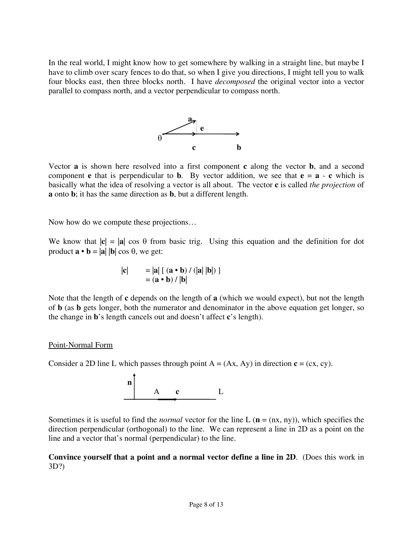In the real world, I might know how to get somewhere by walking in a straight line, but maybe I have to climb over scary fences to do that, so when I give you directions, I might tell you to walk four blocks east, then three blocks north. I have *decomposed* the original vector into a vector parallel to compass north, and a vector perpendicular to compass north.



Vector **a** is shown here resolved into a first component **c** along the vector **b**, and a second component **e** that is perpendicular to **b**. By vector addition, we see that  $e = a - c$  which is basically what the idea of resolving a vector is all about. The vector **c** is called *the projection* of **a** onto **b**; it has the same direction as **b**, but a different length.

Now how do we compute these projections…

We know that  $|\mathbf{c}| = |\mathbf{a}| \cos \theta$  from basic trig. Using this equation and the definition for dot product **a** • **b** = |**a**| |**b**| cos θ, we get:

$$
|\mathbf{c}| = |\mathbf{a}| [(\mathbf{a} \cdot \mathbf{b}) / (|\mathbf{a}| |\mathbf{b}|)]
$$

$$
= (\mathbf{a} \cdot \mathbf{b}) / |\mathbf{b}|
$$

Note that the length of **c** depends on the length of **a** (which we would expect), but not the length of **b** (as **b** gets longer, both the numerator and denominator in the above equation get longer, so the change in **b**'s length cancels out and doesn't affect **c**'s length).

# Point-Normal Form

Consider a 2D line L which passes through point  $A = (Ax, Ay)$  in direction  $c = (cx, cy)$ .



Sometimes it is useful to find the *normal* vector for the line L ( $\mathbf{n} = (\text{nx}, \text{ny})$ ), which specifies the direction perpendicular (orthogonal) to the line. We can represent a line in 2D as a point on the line and a vector that's normal (perpendicular) to the line.

# **Convince yourself that a point and a normal vector define a line in 2D**. (Does this work in 3D?)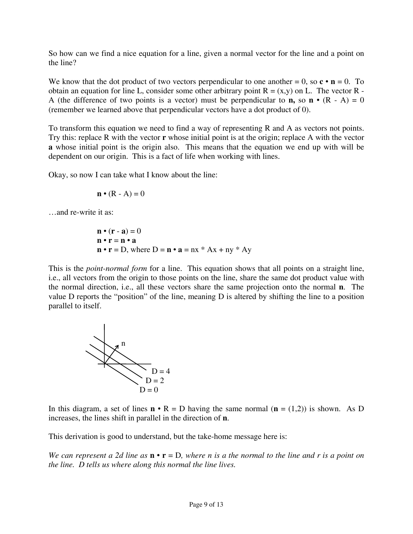So how can we find a nice equation for a line, given a normal vector for the line and a point on the line?

We know that the dot product of two vectors perpendicular to one another  $= 0$ , so  $\mathbf{c} \cdot \mathbf{n} = 0$ . To obtain an equation for line L, consider some other arbitrary point  $R = (x,y)$  on L. The vector R -A (the difference of two points is a vector) must be perpendicular to **n**, so **n** •  $(R - A) = 0$ (remember we learned above that perpendicular vectors have a dot product of 0).

To transform this equation we need to find a way of representing R and A as vectors not points. Try this: replace R with the vector **r** whose initial point is at the origin; replace A with the vector **a** whose initial point is the origin also. This means that the equation we end up with will be dependent on our origin. This is a fact of life when working with lines.

Okay, so now I can take what I know about the line:

$$
\mathbf{n} \bullet (\mathbf{R} - \mathbf{A}) = 0
$$

…and re-write it as:

$$
\mathbf{n} \cdot (\mathbf{r} - \mathbf{a}) = 0
$$
  
\n
$$
\mathbf{n} \cdot \mathbf{r} = \mathbf{n} \cdot \mathbf{a}
$$
  
\n
$$
\mathbf{n} \cdot \mathbf{r} = D
$$
, where  $D = \mathbf{n} \cdot \mathbf{a} = nx * Ax + ny * Ay$ 

This is the *point-normal form* for a line. This equation shows that all points on a straight line, i.e., all vectors from the origin to those points on the line, share the same dot product value with the normal direction, i.e., all these vectors share the same projection onto the normal **n**. The value D reports the "position" of the line, meaning D is altered by shifting the line to a position parallel to itself.



In this diagram, a set of lines  $\mathbf{n} \cdot \mathbf{R} = D$  having the same normal ( $\mathbf{n} = (1,2)$ ) is shown. As D increases, the lines shift in parallel in the direction of **n**.

This derivation is good to understand, but the take-home message here is:

*We can represent a 2d line as*  $\mathbf{n} \cdot \mathbf{r} = D$ , where *n* is a the normal to the line and *r* is a point on *the line. D tells us where along this normal the line lives.*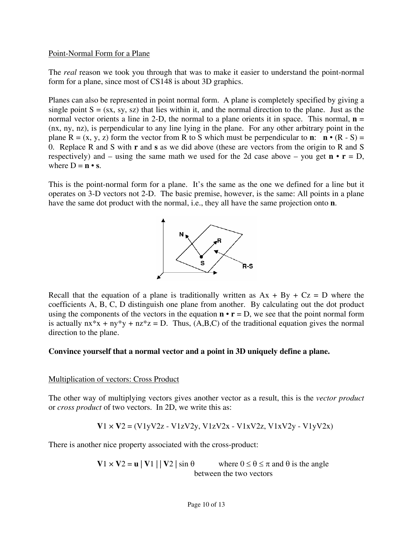### Point-Normal Form for a Plane

The *real* reason we took you through that was to make it easier to understand the point-normal form for a plane, since most of CS148 is about 3D graphics.

Planes can also be represented in point normal form. A plane is completely specified by giving a single point  $S = (sx, sy, sz)$  that lies within it, and the normal direction to the plane. Just as the normal vector orients a line in 2-D, the normal to a plane orients it in space. This normal,  $\mathbf{n} =$ (nx, ny, nz), is perpendicular to any line lying in the plane. For any other arbitrary point in the plane  $R = (x, y, z)$  form the vector from R to S which must be perpendicular to **n**: **n** • (R - S) = 0. Replace R and S with **r** and **s** as we did above (these are vectors from the origin to R and S respectively) and – using the same math we used for the 2d case above – you get  $\mathbf{n} \cdot \mathbf{r} = D$ , where  $D = n \cdot s$ .

This is the point-normal form for a plane. It's the same as the one we defined for a line but it operates on 3-D vectors not 2-D. The basic premise, however, is the same: All points in a plane have the same dot product with the normal, i.e., they all have the same projection onto **n**.



Recall that the equation of a plane is traditionally written as  $Ax + By + Cz = D$  where the coefficients A, B, C, D distinguish one plane from another. By calculating out the dot product using the components of the vectors in the equation  $\mathbf{n} \cdot \mathbf{r} = D$ , we see that the point normal form is actually  $nx*x + ny*y + nz*z = D$ . Thus, (A,B,C) of the traditional equation gives the normal direction to the plane.

### **Convince yourself that a normal vector and a point in 3D uniquely define a plane.**

#### Multiplication of vectors: Cross Product

The other way of multiplying vectors gives another vector as a result, this is the *vector product* or *cross product* of two vectors. In 2D, we write this as:

$$
V1 \times V2 = (V1yV2z - V1zV2y, V1zV2x - V1xV2z, V1xV2y - V1yV2x)
$$

There is another nice property associated with the cross-product:

**V**1  $\times$  **V**2 = **u** | **V**1 | | **V**2 | sin  $\theta$  where  $0 \le \theta \le \pi$  and  $\theta$  is the angle between the two vectors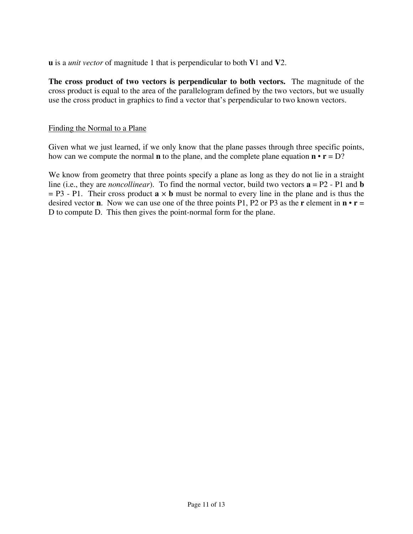**u** is a *unit vector* of magnitude 1 that is perpendicular to both **V**1 and **V**2.

**The cross product of two vectors is perpendicular to both vectors.** The magnitude of the cross product is equal to the area of the parallelogram defined by the two vectors, but we usually use the cross product in graphics to find a vector that's perpendicular to two known vectors.

### Finding the Normal to a Plane

Given what we just learned, if we only know that the plane passes through three specific points, how can we compute the normal **n** to the plane, and the complete plane equation  $\mathbf{n} \cdot \mathbf{r} = D$ ?

We know from geometry that three points specify a plane as long as they do not lie in a straight line (i.e., they are *noncollinear*). To find the normal vector, build two vectors **a** = P2 - P1 and **b**  $=$  P3 - P1. Their cross product  $\mathbf{a} \times \mathbf{b}$  must be normal to every line in the plane and is thus the desired vector **n**. Now we can use one of the three points P1, P2 or P3 as the **r** element in  $\mathbf{n} \cdot \mathbf{r} =$ D to compute D. This then gives the point-normal form for the plane.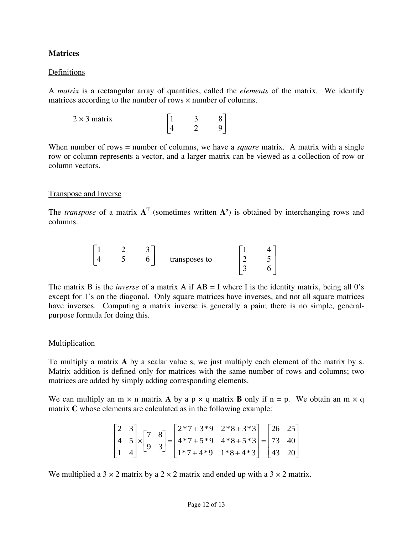# **Matrices**

### Definitions

A *matrix* is a rectangular array of quantities, called the *elements* of the matrix. We identify matrices according to the number of rows × number of columns.

| $2 \times 3$ matrix |  |  |
|---------------------|--|--|
|                     |  |  |

When number of rows = number of columns, we have a *square* matrix. A matrix with a single row or column represents a vector, and a larger matrix can be viewed as a collection of row or column vectors.

### Transpose and Inverse

The *transpose* of a matrix  $A<sup>T</sup>$  (sometimes written  $A'$ ) is obtained by interchanging rows and columns.

|  | ~ |               |             |   |  |
|--|---|---------------|-------------|---|--|
|  | ີ | transposes to | ◠<br>-<br>- | ັ |  |
|  |   |               | -<br>~      |   |  |

The matrix B is the *inverse* of a matrix A if  $AB = I$  where I is the identity matrix, being all 0's except for 1's on the diagonal. Only square matrices have inverses, and not all square matrices have inverses. Computing a matrix inverse is generally a pain; there is no simple, generalpurpose formula for doing this.

### **Multiplication**

To multiply a matrix **A** by a scalar value s, we just multiply each element of the matrix by s. Matrix addition is defined only for matrices with the same number of rows and columns; two matrices are added by simply adding corresponding elements.

We can multiply an  $m \times n$  matrix **A** by a  $p \times q$  matrix **B** only if  $n = p$ . We obtain an  $m \times q$ matrix **C** whose elements are calculated as in the following example:

$$
\begin{bmatrix} 2 & 3 \ 4 & 5 \ 1 & 4 \end{bmatrix} \times \begin{bmatrix} 7 & 8 \ 9 & 3 \end{bmatrix} = \begin{bmatrix} 2 \cdot 7 + 3 \cdot 9 & 2 \cdot 8 + 3 \cdot 3 \\ 4 \cdot 7 + 5 \cdot 9 & 4 \cdot 8 + 5 \cdot 3 \\ 1 \cdot 7 + 4 \cdot 9 & 1 \cdot 8 + 4 \cdot 3 \end{bmatrix} = \begin{bmatrix} 26 & 25 \\ 73 & 40 \\ 43 & 20 \end{bmatrix}
$$

We multiplied a  $3 \times 2$  matrix by a  $2 \times 2$  matrix and ended up with a  $3 \times 2$  matrix.